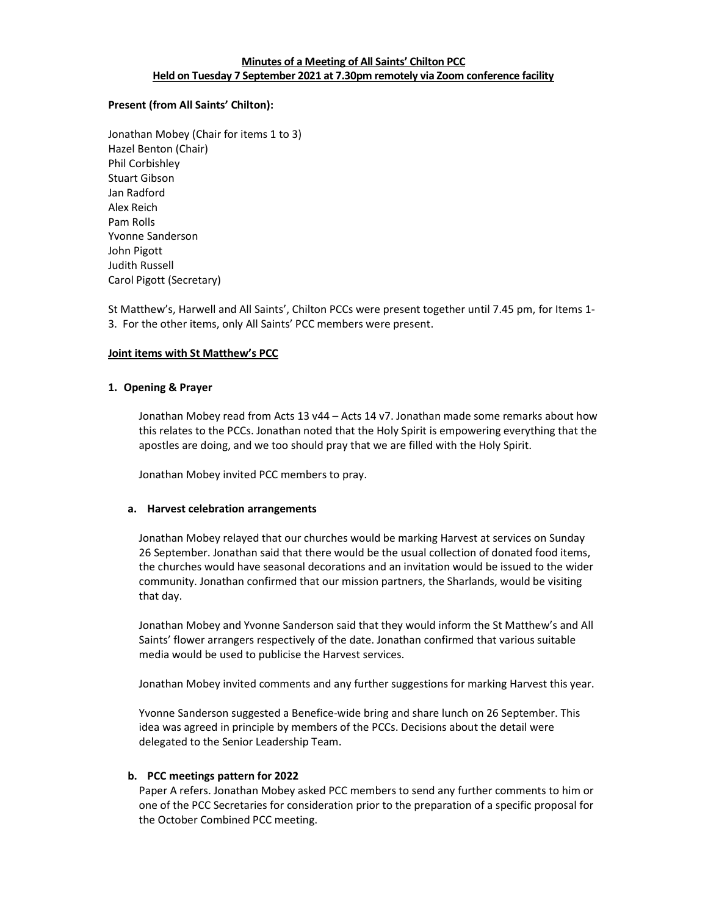# Minutes of a Meeting of All Saints' Chilton PCC Held on Tuesday 7 September 2021 at 7.30pm remotely via Zoom conference facility

## Present (from All Saints' Chilton):

Jonathan Mobey (Chair for items 1 to 3) Hazel Benton (Chair) Phil Corbishley Stuart Gibson Jan Radford Alex Reich Pam Rolls Yvonne Sanderson John Pigott Judith Russell Carol Pigott (Secretary)

St Matthew's, Harwell and All Saints', Chilton PCCs were present together until 7.45 pm, for Items 1- 3. For the other items, only All Saints' PCC members were present.

## Joint items with St Matthew's PCC

## 1. Opening & Prayer

Jonathan Mobey read from Acts 13 v44 – Acts 14 v7. Jonathan made some remarks about how this relates to the PCCs. Jonathan noted that the Holy Spirit is empowering everything that the apostles are doing, and we too should pray that we are filled with the Holy Spirit.

Jonathan Mobey invited PCC members to pray.

#### a. Harvest celebration arrangements

Jonathan Mobey relayed that our churches would be marking Harvest at services on Sunday 26 September. Jonathan said that there would be the usual collection of donated food items, the churches would have seasonal decorations and an invitation would be issued to the wider community. Jonathan confirmed that our mission partners, the Sharlands, would be visiting that day.

Jonathan Mobey and Yvonne Sanderson said that they would inform the St Matthew's and All Saints' flower arrangers respectively of the date. Jonathan confirmed that various suitable media would be used to publicise the Harvest services.

Jonathan Mobey invited comments and any further suggestions for marking Harvest this year.

Yvonne Sanderson suggested a Benefice-wide bring and share lunch on 26 September. This idea was agreed in principle by members of the PCCs. Decisions about the detail were delegated to the Senior Leadership Team.

#### b. PCC meetings pattern for 2022

Paper A refers. Jonathan Mobey asked PCC members to send any further comments to him or one of the PCC Secretaries for consideration prior to the preparation of a specific proposal for the October Combined PCC meeting.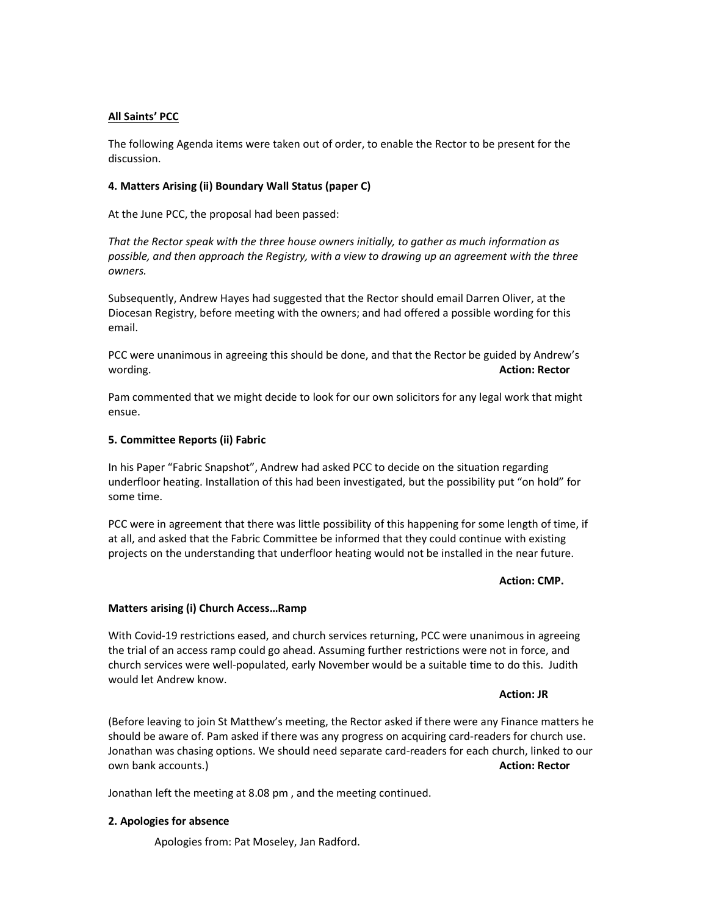## All Saints' PCC

The following Agenda items were taken out of order, to enable the Rector to be present for the discussion.

## 4. Matters Arising (ii) Boundary Wall Status (paper C)

At the June PCC, the proposal had been passed:

That the Rector speak with the three house owners initially, to gather as much information as possible, and then approach the Registry, with a view to drawing up an agreement with the three owners.

Subsequently, Andrew Hayes had suggested that the Rector should email Darren Oliver, at the Diocesan Registry, before meeting with the owners; and had offered a possible wording for this email.

PCC were unanimous in agreeing this should be done, and that the Rector be guided by Andrew's wording. **Action: Rector Action: Rector Action: Rector** 

Pam commented that we might decide to look for our own solicitors for any legal work that might ensue.

#### 5. Committee Reports (ii) Fabric

In his Paper "Fabric Snapshot", Andrew had asked PCC to decide on the situation regarding underfloor heating. Installation of this had been investigated, but the possibility put "on hold" for some time.

PCC were in agreement that there was little possibility of this happening for some length of time, if at all, and asked that the Fabric Committee be informed that they could continue with existing projects on the understanding that underfloor heating would not be installed in the near future.

#### Action: CMP.

#### Matters arising (i) Church Access…Ramp

With Covid-19 restrictions eased, and church services returning, PCC were unanimous in agreeing the trial of an access ramp could go ahead. Assuming further restrictions were not in force, and church services were well-populated, early November would be a suitable time to do this. Judith would let Andrew know.

#### Action: JR

(Before leaving to join St Matthew's meeting, the Rector asked if there were any Finance matters he should be aware of. Pam asked if there was any progress on acquiring card-readers for church use. Jonathan was chasing options. We should need separate card-readers for each church, linked to our own bank accounts.) Action: Rector and Decision and Decision and Decision and Decision and Decision and Decision and Decision and Decision and Decision and Decision and Decision and Decision and Decision and Decision and D

Jonathan left the meeting at 8.08 pm , and the meeting continued.

#### 2. Apologies for absence

Apologies from: Pat Moseley, Jan Radford.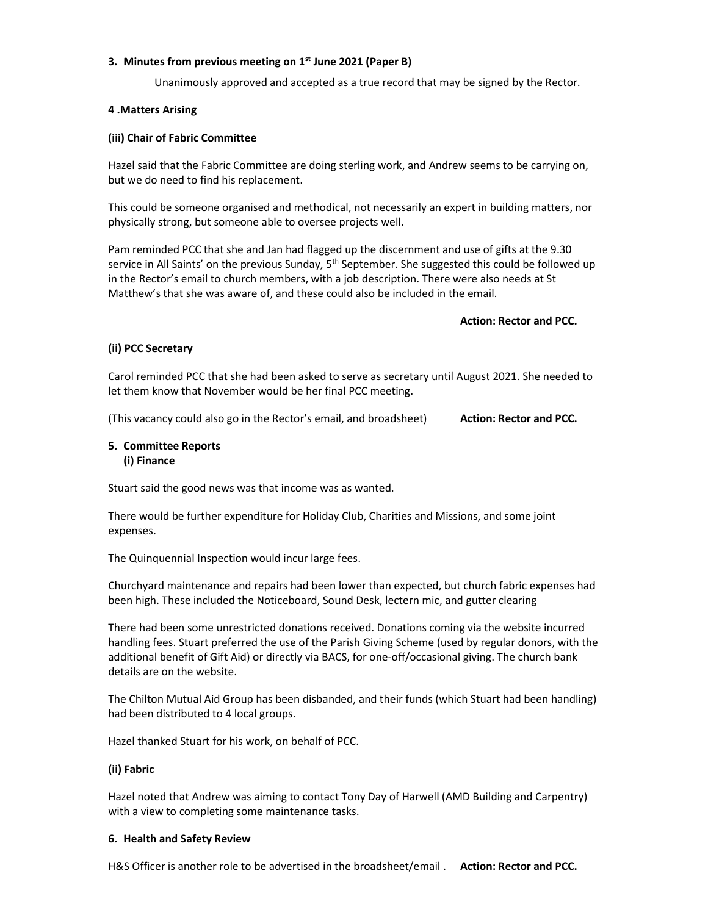## 3. Minutes from previous meeting on  $1<sup>st</sup>$  June 2021 (Paper B)

Unanimously approved and accepted as a true record that may be signed by the Rector.

## 4 .Matters Arising

## (iii) Chair of Fabric Committee

Hazel said that the Fabric Committee are doing sterling work, and Andrew seems to be carrying on, but we do need to find his replacement.

This could be someone organised and methodical, not necessarily an expert in building matters, nor physically strong, but someone able to oversee projects well.

Pam reminded PCC that she and Jan had flagged up the discernment and use of gifts at the 9.30 service in All Saints' on the previous Sunday,  $5<sup>th</sup>$  September. She suggested this could be followed up in the Rector's email to church members, with a job description. There were also needs at St Matthew's that she was aware of, and these could also be included in the email.

#### Action: Rector and PCC.

## (ii) PCC Secretary

Carol reminded PCC that she had been asked to serve as secretary until August 2021. She needed to let them know that November would be her final PCC meeting.

(This vacancy could also go in the Rector's email, and broadsheet) **Action: Rector and PCC.** 

## 5. Committee Reports (i) Finance

Stuart said the good news was that income was as wanted.

There would be further expenditure for Holiday Club, Charities and Missions, and some joint expenses.

The Quinquennial Inspection would incur large fees.

Churchyard maintenance and repairs had been lower than expected, but church fabric expenses had been high. These included the Noticeboard, Sound Desk, lectern mic, and gutter clearing

There had been some unrestricted donations received. Donations coming via the website incurred handling fees. Stuart preferred the use of the Parish Giving Scheme (used by regular donors, with the additional benefit of Gift Aid) or directly via BACS, for one-off/occasional giving. The church bank details are on the website.

The Chilton Mutual Aid Group has been disbanded, and their funds (which Stuart had been handling) had been distributed to 4 local groups.

Hazel thanked Stuart for his work, on behalf of PCC.

## (ii) Fabric

Hazel noted that Andrew was aiming to contact Tony Day of Harwell (AMD Building and Carpentry) with a view to completing some maintenance tasks.

#### 6. Health and Safety Review

H&S Officer is another role to be advertised in the broadsheet/email . **Action: Rector and PCC.**